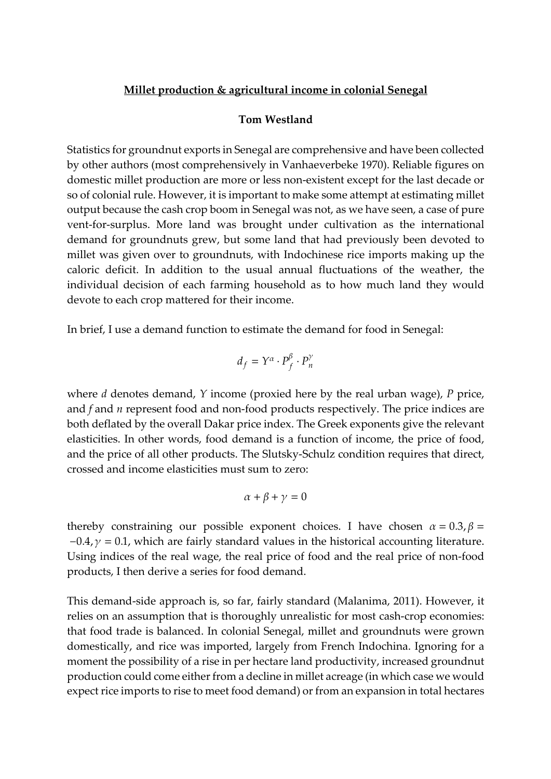## **Millet production & agricultural income in colonial Senegal**

## **Tom Westland**

Statistics for groundnut exports in Senegal are comprehensive and have been collected by other authors (most comprehensively in Vanhaeverbeke 1970). Reliable figures on domestic millet production are more or less non-existent except for the last decade or so of colonial rule. However, it is important to make some attempt at estimating millet output because the cash crop boom in Senegal was not, as we have seen, a case of pure vent-for-surplus. More land was brought under cultivation as the international demand for groundnuts grew, but some land that had previously been devoted to millet was given over to groundnuts, with Indochinese rice imports making up the caloric deficit. In addition to the usual annual fluctuations of the weather, the individual decision of each farming household as to how much land they would devote to each crop mattered for their income.

In brief, I use a demand function to estimate the demand for food in Senegal:

$$
d_f = Y^{\alpha} \cdot P_f^{\beta} \cdot P_n^{\gamma}
$$

where *d* denotes demand, *Y* income (proxied here by the real urban wage), *P* price, and *f* and *n* represent food and non-food products respectively. The price indices are both deflated by the overall Dakar price index. The Greek exponents give the relevant elasticities. In other words, food demand is a function of income, the price of food, and the price of all other products. The Slutsky-Schulz condition requires that direct, crossed and income elasticities must sum to zero:

$$
\alpha + \beta + \gamma = 0
$$

thereby constraining our possible exponent choices. I have chosen  $\alpha = 0.3$ ,  $\beta =$  $-0.4$ ,  $\gamma = 0.1$ , which are fairly standard values in the historical accounting literature. Using indices of the real wage, the real price of food and the real price of non-food products, I then derive a series for food demand.

This demand-side approach is, so far, fairly standard (Malanima, 2011). However, it relies on an assumption that is thoroughly unrealistic for most cash-crop economies: that food trade is balanced. In colonial Senegal, millet and groundnuts were grown domestically, and rice was imported, largely from French Indochina. Ignoring for a moment the possibility of a rise in per hectare land productivity, increased groundnut production could come either from a decline in millet acreage (in which case we would expect rice imports to rise to meet food demand) or from an expansion in total hectares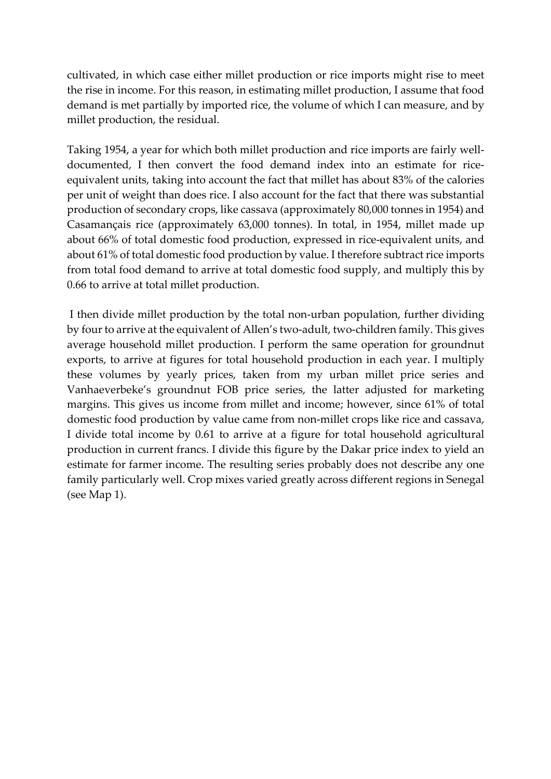cultivated, in which case either millet production or rice imports might rise to meet the rise in income. For this reason, in estimating millet production, I assume that food demand is met partially by imported rice, the volume of which I can measure, and by millet production, the residual.

Taking 1954, a year for which both millet production and rice imports are fairly welldocumented, I then convert the food demand index into an estimate for riceequivalent units, taking into account the fact that millet has about 83% of the calories per unit of weight than does rice. I also account for the fact that there was substantial production of secondary crops, like cassava (approximately 80,000 tonnes in 1954) and Casamançais rice (approximately 63,000 tonnes). In total, in 1954, millet made up about 66% of total domestic food production, expressed in rice-equivalent units, and about 61% of total domestic food production by value. I therefore subtract rice imports from total food demand to arrive at total domestic food supply, and multiply this by 0.66 to arrive at total millet production.

I then divide millet production by the total non-urban population, further dividing by four to arrive at the equivalent of Allen's two-adult, two-children family. This gives average household millet production. I perform the same operation for groundnut exports, to arrive at figures for total household production in each year. I multiply these volumes by yearly prices, taken from my urban millet price series and Vanhaeverbeke's groundnut FOB price series, the latter adjusted for marketing margins. This gives us income from millet and income; however, since 61% of total domestic food production by value came from non-millet crops like rice and cassava, I divide total income by 0.61 to arrive at a figure for total household agricultural production in current francs. I divide this figure by the Dakar price index to yield an estimate for farmer income. The resulting series probably does not describe any one family particularly well. Crop mixes varied greatly across different regions in Senegal (see Map 1).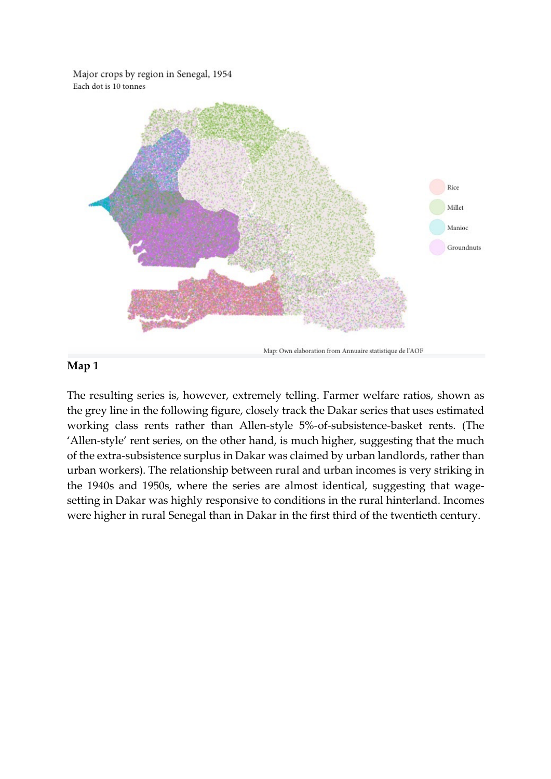Major crops by region in Senegal, 1954 Each dot is 10 tonnes



## **Map 1**

The resulting series is, however, extremely telling. Farmer welfare ratios, shown as the grey line in the following figure, closely track the Dakar series that uses estimated working class rents rather than Allen-style 5%-of-subsistence-basket rents. (The 'Allen-style' rent series, on the other hand, is much higher, suggesting that the much of the extra-subsistence surplus in Dakar was claimed by urban landlords, rather than urban workers). The relationship between rural and urban incomes is very striking in the 1940s and 1950s, where the series are almost identical, suggesting that wagesetting in Dakar was highly responsive to conditions in the rural hinterland. Incomes were higher in rural Senegal than in Dakar in the first third of the twentieth century.